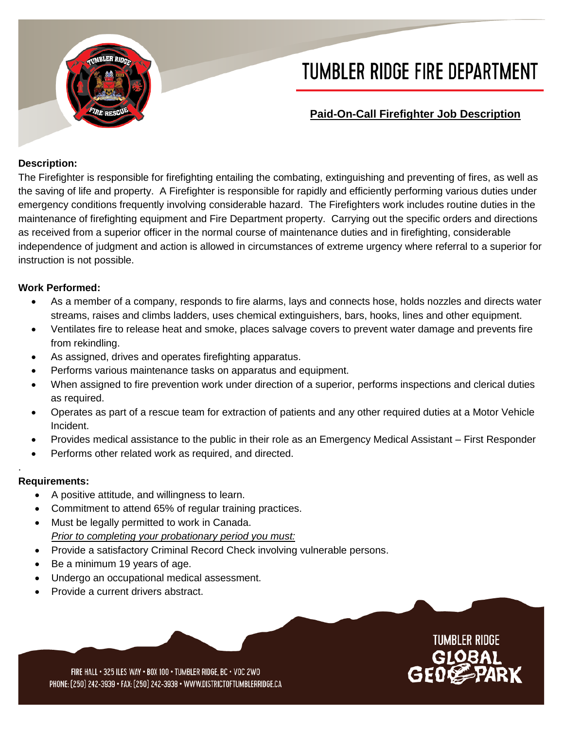

# **TUMBLER RIDGE FIRE DEPARTMENT**

## **Paid-On-Call Firefighter Job Description**

#### **Description:**

The Firefighter is responsible for firefighting entailing the combating, extinguishing and preventing of fires, as well as the saving of life and property. A Firefighter is responsible for rapidly and efficiently performing various duties under emergency conditions frequently involving considerable hazard. The Firefighters work includes routine duties in the maintenance of firefighting equipment and Fire Department property. Carrying out the specific orders and directions as received from a superior officer in the normal course of maintenance duties and in firefighting, considerable independence of judgment and action is allowed in circumstances of extreme urgency where referral to a superior for instruction is not possible.

#### **Work Performed:**

- As a member of a company, responds to fire alarms, lays and connects hose, holds nozzles and directs water streams, raises and climbs ladders, uses chemical extinguishers, bars, hooks, lines and other equipment.
- Ventilates fire to release heat and smoke, places salvage covers to prevent water damage and prevents fire from rekindling.
- As assigned, drives and operates firefighting apparatus.
- Performs various maintenance tasks on apparatus and equipment.
- When assigned to fire prevention work under direction of a superior, performs inspections and clerical duties as required.
- Operates as part of a rescue team for extraction of patients and any other required duties at a Motor Vehicle Incident.
- Provides medical assistance to the public in their role as an Emergency Medical Assistant First Responder
- Performs other related work as required, and directed.

### **Requirements:**

.

- A positive attitude, and willingness to learn.
- Commitment to attend 65% of regular training practices.
- Must be legally permitted to work in Canada. *Prior to completing your probationary period you must:*
- Provide a satisfactory Criminal Record Check involving vulnerable persons.
- Be a minimum 19 years of age.
- Undergo an occupational medical assessment.
- Provide a current drivers abstract.



FIRE HALL · 325 ILES WAY · BOX 100 · TUMBLER RIDGE, BC · VOC 2WO PHONE: [250] 242-3939 · FAX: [250] 242-3938 · WWW.DISTRICTOFTUMBLERRIDGE.CA